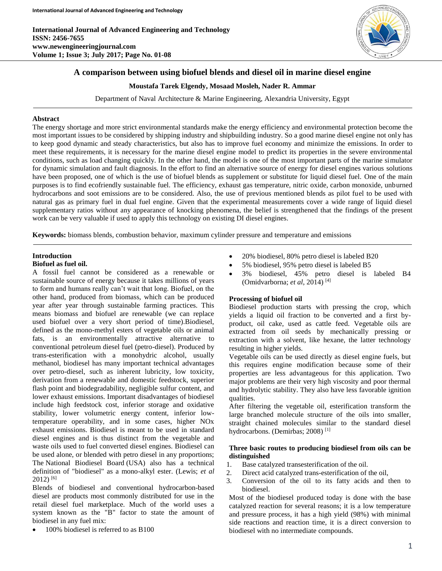

# **A comparison between using biofuel blends and diesel oil in marine diesel engine**

#### **Moustafa Tarek Elgendy, Mosaad Mosleh, Nader R. Ammar**

Department of Naval Architecture & Marine Engineering, Alexandria University, Egypt

#### **Abstract**

The energy shortage and more strict environmental standards make the energy efficiency and environmental protection become the most important issues to be considered by shipping industry and shipbuilding industry. So a good marine diesel engine not only has to keep good dynamic and steady characteristics, but also has to improve fuel economy and minimize the emissions. In order to meet these requirements, it is necessary for the marine diesel engine model to predict its properties in the severe environmental conditions, such as load changing quickly. In the other hand, the model is one of the most important parts of the marine simulator for dynamic simulation and fault diagnosis. In the effort to find an alternative source of energy for diesel engines various solutions have been proposed, one of which is the use of biofuel blends as supplement or substitute for liquid diesel fuel. One of the main purposes is to find ecofriendly sustainable fuel. The efficiency, exhaust gas temperature, nitric oxide, carbon monoxide, unburned hydrocarbons and soot emissions are to be considered. Also, the use of previous mentioned blends as pilot fuel to be used with natural gas as primary fuel in dual fuel engine. Given that the experimental measurements cover a wide range of liquid diesel supplementary ratios without any appearance of knocking phenomena, the belief is strengthened that the findings of the present work can be very valuable if used to apply this technology on existing DI diesel engines.

**Keywords:** biomass blends, combustion behavior, maximum cylinder pressure and temperature and emissions

## **Introduction**

#### **Biofuel as fuel oil.**

A fossil fuel cannot be considered as a renewable or sustainable source of energy because it takes millions of years to form and humans really can't wait that long. Biofuel, on the other hand, produced from biomass, which can be produced year after year through sustainable farming practices. This means biomass and biofuel are renewable (we can replace used biofuel over a very short period of time).Biodiesel, defined as the mono-methyl esters of vegetable oils or animal fats, is an environmentally attractive alternative to conventional petroleum diesel fuel (petro-diesel). Produced by trans-esterification with a monohydric alcohol, usually methanol, biodiesel has many important technical advantages over petro-diesel, such as inherent lubricity, low toxicity, derivation from a renewable and domestic feedstock, superior flash point and biodegradability, negligible sulfur content, and lower exhaust emissions. Important disadvantages of biodiesel include high feedstock cost, inferior storage and oxidative stability, lower volumetric energy content, inferior lowtemperature operability, and in some cases, higher NOx exhaust emissions. Biodiesel is meant to be used in standard diesel engines and is thus distinct from the vegetable and waste oils used to fuel converted diesel engines. Biodiesel can be used alone, or blended with petro diesel in any proportions; The National Biodiesel Board (USA) also has a technical definition of "biodiesel" as a mono-alkyl ester. (Lewis; *et al*  $2012$ ) [6]

Blends of biodiesel and conventional hydrocarbon-based diesel are products most commonly distributed for use in the retail diesel fuel marketplace. Much of the world uses a system known as the "B" factor to state the amount of biodiesel in any fuel mix:

100% biodiesel is referred to as B100

- 20% biodiesel, 80% petro diesel is labeled B20
- 5% biodiesel, 95% petro diesel is labeled B5
- 3% biodiesel, 45% petro diesel is labeled B4 (Omidvarborna; *et al*, 2014) [4]

## **Processing of biofuel oil**

Biodiesel production starts with pressing the crop, which yields a liquid oil fraction to be converted and a first byproduct, oil cake, used as cattle feed. Vegetable oils are extracted from oil seeds by mechanically pressing or extraction with a solvent, like hexane, the latter technology resulting in higher yields.

Vegetable oils can be used directly as diesel engine fuels, but this requires engine modification because some of their properties are less advantageous for this application. Two major problems are their very high viscosity and poor thermal and hydrolytic stability. They also have less favorable ignition qualities.

After filtering the vegetable oil, esterification transform the large branched molecule structure of the oils into smaller, straight chained molecules similar to the standard diesel hydrocarbons. (Demirbas; 2008)<sup>[1]</sup>

### **Three basic routes to producing biodiesel from oils can be distinguished**

- 1. Base catalyzed transesterification of the oil.
- 2. Direct acid catalyzed trans-esterification of the oil,
- 3. Conversion of the oil to its fatty acids and then to biodiesel.

Most of the biodiesel produced today is done with the base catalyzed reaction for several reasons; it is a low temperature and pressure process, it has a high yield (98%) with minimal side reactions and reaction time, it is a direct conversion to biodiesel with no intermediate compounds.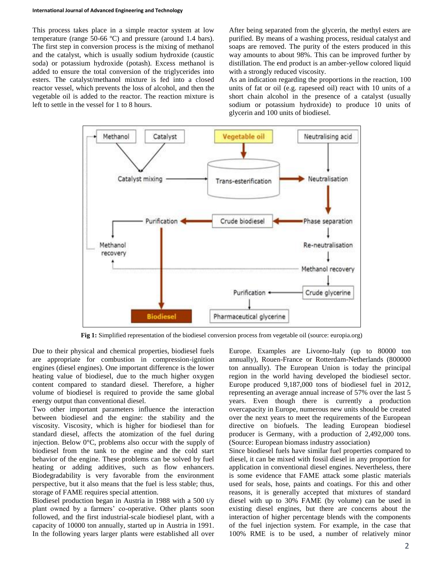This process takes place in a simple reactor system at low temperature (range 50-66 ºC) and pressure (around 1.4 bars). The first step in conversion process is the mixing of methanol and the catalyst, which is usually sodium hydroxide (caustic soda) or potassium hydroxide (potash). Excess methanol is added to ensure the total conversion of the triglycerides into esters. The catalyst/methanol mixture is fed into a closed reactor vessel, which prevents the loss of alcohol, and then the vegetable oil is added to the reactor. The reaction mixture is left to settle in the vessel for 1 to 8 hours.

After being separated from the glycerin, the methyl esters are purified. By means of a washing process, residual catalyst and soaps are removed. The purity of the esters produced in this way amounts to about 98%. This can be improved further by distillation. The end product is an amber-yellow colored liquid with a strongly reduced viscosity.

As an indication regarding the proportions in the reaction, 100 units of fat or oil (e.g. rapeseed oil) react with 10 units of a short chain alcohol in the presence of a catalyst (usually sodium or potassium hydroxide) to produce 10 units of glycerin and 100 units of biodiesel.



**Fig 1:** Simplified representation of the biodiesel conversion process from vegetable oil (source: europia.org)

Due to their physical and chemical properties, biodiesel fuels are appropriate for combustion in compression-ignition engines (diesel engines). One important difference is the lower heating value of biodiesel, due to the much higher oxygen content compared to standard diesel. Therefore, a higher volume of biodiesel is required to provide the same global energy output than conventional diesel.

Two other important parameters influence the interaction between biodiesel and the engine: the stability and the viscosity. Viscosity, which is higher for biodiesel than for standard diesel, affects the atomization of the fuel during injection. Below 0°C, problems also occur with the supply of biodiesel from the tank to the engine and the cold start behavior of the engine. These problems can be solved by fuel heating or adding additives, such as flow enhancers. Biodegradability is very favorable from the environment perspective, but it also means that the fuel is less stable; thus, storage of FAME requires special attention.

Biodiesel production began in Austria in 1988 with a 500 t/y plant owned by a farmers' co-operative. Other plants soon followed, and the first industrial-scale biodiesel plant, with a capacity of 10000 ton annually, started up in Austria in 1991. In the following years larger plants were established all over

Europe. Examples are Livorno-Italy (up to 80000 ton annually), Rouen-France or Rotterdam-Netherlands (800000 ton annually). The European Union is today the principal region in the world having developed the biodiesel sector. Europe produced 9,187,000 tons of biodiesel fuel in 2012, representing an average annual increase of 57% over the last 5 years. Even though there is currently a production overcapacity in Europe, numerous new units should be created over the next years to meet the requirements of the European directive on biofuels. The leading European biodiesel producer is Germany, with a production of 2,492,000 tons. (Source: European biomass industry association)

Since biodiesel fuels have similar fuel properties compared to diesel, it can be mixed with fossil diesel in any proportion for application in conventional diesel engines. Nevertheless, there is some evidence that FAME attack some plastic materials used for seals, hose, paints and coatings. For this and other reasons, it is generally accepted that mixtures of standard diesel with up to 30% FAME (by volume) can be used in existing diesel engines, but there are concerns about the interaction of higher percentage blends with the components of the fuel injection system. For example, in the case that 100% RME is to be used, a number of relatively minor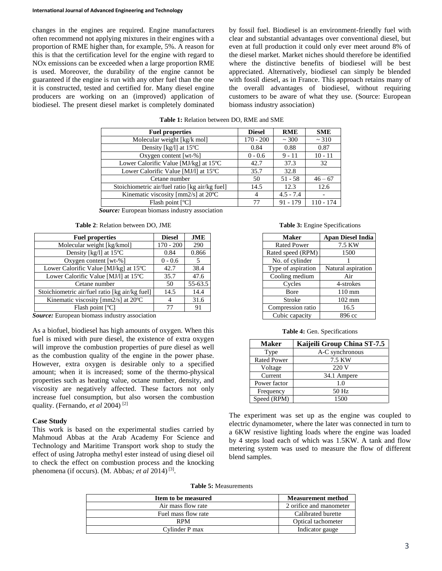changes in the engines are required. Engine manufacturers often recommend not applying mixtures in their engines with a proportion of RME higher than, for example, 5%. A reason for this is that the certification level for the engine with regard to NOx emissions can be exceeded when a large proportion RME is used. Moreover, the durability of the engine cannot be guaranteed if the engine is run with any other fuel than the one it is constructed, tested and certified for. Many diesel engine producers are working on an (improved) application of biodiesel. The present diesel market is completely dominated

by fossil fuel. Biodiesel is an environment-friendly fuel with clear and substantial advantages over conventional diesel, but even at full production it could only ever meet around 8% of the diesel market. Market niches should therefore be identified where the distinctive benefits of biodiesel will be best appreciated. Alternatively, biodiesel can simply be blended with fossil diesel, as in France. This approach retains many of the overall advantages of biodiesel, without requiring customers to be aware of what they use. (Source: European biomass industry association)

| <b>Fuel properties</b>                            | <b>Diesel</b> | <b>RME</b>  | <b>SME</b>  |
|---------------------------------------------------|---------------|-------------|-------------|
| Molecular weight [kg/k mol]                       | $170 - 200$   | ~100        | ~10         |
| Density [kg/l] at $15^{\circ}$ C                  | 0.84          | 0.88        | 0.87        |
| Oxygen content [ $wt-%$ ]                         | $0 - 0.6$     | $9 - 11$    | $10 - 11$   |
| Lower Calorific Value [MJ/kg] at 15°C             | 42.7          | 37.3        | 32          |
| Lower Calorific Value [MJ/l] at 15°C              | 35.7          | 32.8        |             |
| Cetane number                                     | 50            | $51 - 58$   | $46 - 67$   |
| Stoichiometric air/fuel ratio [kg air/kg fuel]    | 14.5          | 12.3        | 12.6        |
| Kinematic viscosity [ $mm2/s$ ] at $20^{\circ}$ C | 4             | $4.5 - 7.4$ | -           |
| Flash point [°C]                                  | 77            | 91 - 179    | $110 - 174$ |

**Table 1:** Relation between DO, RME and SME

*Source:* European biomass industry association

| Table 2: Relation between DO, JME |  |  |  |  |
|-----------------------------------|--|--|--|--|
|-----------------------------------|--|--|--|--|

| <b>Fuel properties</b>                         | <b>Diesel</b> | JME     |
|------------------------------------------------|---------------|---------|
| Molecular weight [kg/kmol]                     | $170 - 200$   | 290     |
| Density [kg/l] at 15°C                         | 0.84          | 0.866   |
| Oxygen content [wt-%]                          | $0 - 0.6$     | 5       |
| Lower Calorific Value [MJ/kg] at 15°C          | 42.7          | 38.4    |
| Lower Calorific Value [MJ/l] at 15°C           | 35.7          | 47.6    |
| Cetane number                                  | 50            | 55-63.5 |
| Stoichiometric air/fuel ratio [kg air/kg fuel] | 14.5          | 14.4    |
| Kinematic viscosity [mm2/s] at 20°C            |               | 31.6    |
| Flash point [°C]                               |               | 91      |

*Source:* European biomass industry association

As a biofuel, biodiesel has high amounts of oxygen. When this fuel is mixed with pure diesel, the existence of extra oxygen will improve the combustion properties of pure diesel as well as the combustion quality of the engine in the power phase. However, extra oxygen is desirable only to a specified amount; when it is increased; some of the thermo-physical properties such as heating value, octane number, density, and viscosity are negatively affected. These factors not only increase fuel consumption, but also worsen the combustion quality. (Fernando, *et al* 2004) [2]

### **Case Study**

This work is based on the experimental studies carried by Mahmoud Abbas at the Arab Academy For Science and Technology and Maritime Transport work shop to study the effect of using Jatropha methyl ester instead of using diesel oil to check the effect on combustion process and the knocking phenomena (if occurs). (M. Abbas*; et al* 2014) [3] .

**Table 3:** Engine Specifications

| <b>Maker</b>       | <b>Apan Diesel India</b> |
|--------------------|--------------------------|
| <b>Rated Power</b> | 7.5 KW                   |
| Rated speed (RPM)  | 1500                     |
| No. of cylinder    |                          |
| Type of aspiration | Natural aspiration       |
| Cooling medium     | Air                      |
| Cycles             | 4-strokes                |
| Bore               | 110 mm                   |
| Stroke             | $102 \text{ mm}$         |
| Compression ratio  | 16.5                     |
| Cubic capacity     | 896 cc                   |

**Table 4:** Gen. Specifications

| <b>Maker</b>       | Kaijeili Group China ST-7.5 |
|--------------------|-----------------------------|
| Type               | A-C synchronous             |
| <b>Rated Power</b> | 7.5 KW                      |
| Voltage            | 220 V                       |
| Current            | 34.1 Ampere                 |
| Power factor       | 1.0                         |
| Frequency          | 50 Hz                       |
| Speed (RPM)        | 1500                        |

The experiment was set up as the engine was coupled to electric dynamometer, where the later was connected in turn to a 6KW resistive lighting loads where the engine was loaded by 4 steps load each of which was 1.5KW. A tank and flow metering system was used to measure the flow of different blend samples.

**Table 5:** Measurements

| Item to be measured | <b>Measurement method</b> |
|---------------------|---------------------------|
| Air mass flow rate  | 2 orifice and manometer   |
| Fuel mass flow rate | Calibrated burette        |
| <b>RPM</b>          | Optical tachometer        |
| Cylinder P max      | Indicator gauge           |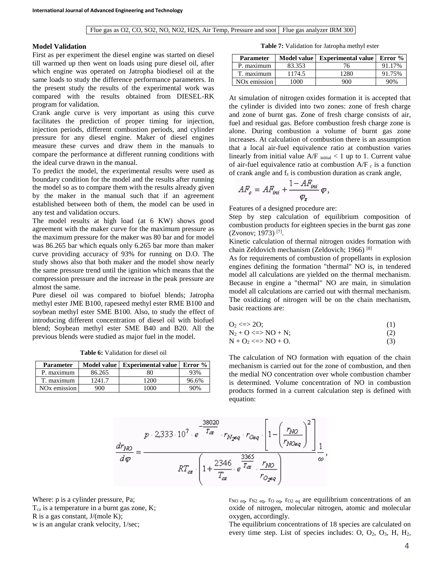#### **Model Validation**

First as per experiment the diesel engine was started on diesel till warmed up then went on loads using pure diesel oil, after which engine was operated on Jatropha biodiesel oil at the same loads to study the difference performance parameters. In the present study the results of the experimental work was compared with the results obtained from DIESEL-RK program for validation.

Crank angle curve is very important as using this curve facilitates the prediction of proper timing for injection, injection periods, different combustion periods, and cylinder pressure for any diesel engine. Maker of diesel engines measure these curves and draw them in the manuals to compare the performance at different running conditions with the ideal curve drawn in the manual.

To predict the model, the experimental results were used as boundary condition for the model and the results after running the model so as to compare them with the results already given by the maker in the manual such that if an agreement established between both of them, the model can be used in any test and validation occurs.

The model results at high load (at 6 KW) shows good agreement with the maker curve for the maximum pressure as the maximum pressure for the maker was 80 bar and for model was 86.265 bar which equals only 6.265 bar more than maker curve providing accuracy of 93% for running on D.O. The study shows also that both maker and the model show nearly the same pressure trend until the ignition which means that the compression pressure and the increase in the peak pressure are almost the same.

Pure diesel oil was compared to biofuel blends; Jatropha methyl ester JME B100, rapeseed methyl ester RME B100 and soybean methyl ester SME B100. Also, to study the effect of introducing different concentration of diesel oil with biofuel blend; Soybean methyl ester SME B40 and B20. All the previous blends were studied as major fuel in the model.

**Table 6:** Validation for diesel oil

| <b>Parameter</b>         |        | Model value   Experimental value | Error $%$ |
|--------------------------|--------|----------------------------------|-----------|
| P. maximum               | 86.265 | 80                               | 93%       |
| T. maximum               | 1241.7 | 1200                             | 96.6%     |
| NO <sub>x</sub> emission | 900    | 000                              | 90%       |

**Table 7:** Validation for Jatropha methyl ester

| Model value<br><b>Parameter</b> |        | Experimental value | Error % |
|---------------------------------|--------|--------------------|---------|
| P. maximum                      | 83.353 | 76                 | 91.17%  |
| T. maximum                      | 1174.5 | 1280               | 91.75%  |
| NO <sub>x</sub> emission        | 1000   | 900                | 90%     |

At simulation of nitrogen oxides formation it is accepted that the cylinder is divided into two zones: zone of fresh charge and zone of burnt gas. Zone of fresh charge consists of air, fuel and residual gas. Before combustion fresh charge zone is alone. During combustion a volume of burnt gas zone increases. At calculation of combustion there is an assumption that a local air-fuel equivalence ratio at combustion varies linearly from initial value  $A/F$  initial  $\lt 1$  up to 1. Current value of air-fuel equivalence ratio at combustion  $A/F_c$  is a function of crank angle and  $f_z$  is combustion duration as crank angle,

$$
AF_c = AF_{ini} + \frac{1 - AF_{ini}}{\varphi_r} \varphi,
$$

Features of a designed procedure are:

Step by step calculation of equilibrium composition of combustion products for eighteen species in the burnt gas zone (Zvonov; 1973) [7] .

Kinetic calculation of thermal nitrogen oxides formation with chain Zeldovich mechanism (Zeldovich; 1966) [8]

As for requirements of combustion of propellants in explosion engines defining the formation "thermal" NO is, in tendered model all calculations are yielded on the thermal mechanism. Because in engine a "thermal" NO are main, in simulation model all calculations are carried out with thermal mechanism. The oxidizing of nitrogen will be on the chain mechanism, basic reactions are:

$$
O_2 \langle \Rightarrow 2O; \tag{1}
$$

$$
N_2 + O \leq N_2 + N;
$$
  
\n
$$
N + O_2 \leq N_2 + O_2.
$$
  
\n
$$
(2)
$$
  
\n
$$
(3)
$$

The calculation of NO formation with equation of the chain mechanism is carried out for the zone of combustion, and then the medial NO concentration over whole combustion chamber is determined. Volume concentration of NO in combustion products formed in a current calculation step is defined with

$$
p \cdot 2,333 \cdot 10^{7} \cdot e^{-\frac{38020}{T_{\text{ca}}}} \cdot r_{N_{\text{geq}} \cdot r_{Oeq}} \cdot \left[1 - \left(\frac{r_{\text{NO}}}{r_{\text{NOeq}}}\right)^{2}\right] \frac{1}{1 - r_{\text{NOeq}}}.
$$

$$
RT_{\text{ca}} \cdot \left(1 + \frac{2346}{T_{\text{ca}}} \cdot e^{\frac{3365}{T_{\text{ca}}}} \cdot \frac{r_{\text{NO}}}{r_{O_{\text{geq}}}}
$$

equation:

Where: p is a cylinder pressure, Pa;  $T_{cz}$  is a temperature in a burnt gas zone, K; R is a gas constant, J/(mole K); w is an angular crank velocity, 1/sec;

 $r_{NO \text{ eq}}$ ,  $r_{N2 \text{ eq}}$ ,  $r_{O \text{ eq}}$ ,  $r_{O2 \text{ eq}}$  are equilibrium concentrations of an oxide of nitrogen, molecular nitrogen, atomic and molecular oxygen, accordingly.

The equilibrium concentrations of 18 species are calculated on every time step. List of species includes: O,  $O_2$ ,  $O_3$ , H,  $H_2$ ,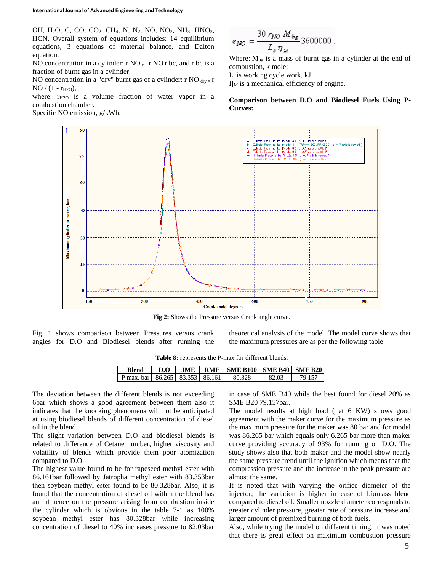OH, H<sub>2</sub>O, C, CO, CO<sub>2</sub>, CH<sub>4</sub>, N, N<sub>2</sub>, NO, NO<sub>2</sub>, NH<sub>3</sub>, HNO<sub>3</sub>, HCN. Overall system of equations includes: 14 equilibrium equations, 3 equations of material balance, and Dalton equation.

NO concentration in a cylinder:  $r \text{ NO } c = r \text{ NO } r$  bc, and r bc is a fraction of burnt gas in a cylinder.

NO concentration in a "dry" burnt gas of a cylinder: r NO  $_{\text{div}} = r$  $NO / (1 - r_{H2O}),$ 

where:  $r_{H2O}$  is a volume fraction of water vapor in a combustion chamber.

Specific NO emission, g/kWh:

$$
e_{NO} = \frac{30 \; r_{NO} \; M_{bg}}{L_c \, \eta_{\mu}} 3600000 \; ,
$$

Where:  $M_{bg}$  is a mass of burnt gas in a cylinder at the end of combustion, k mole;

L<sub>c</sub> is working cycle work, kJ,

 $\Pi_M$  is a mechanical efficiency of engine.

**Comparison between D.O and Biodiesel Fuels Using P-Curves:**



**Fig 2:** Shows the Pressure versus Crank angle curve.

Fig. 1 shows comparison between Pressures versus crank angles for D.O and Biodiesel blends after running the theoretical analysis of the model. The model curve shows that the maximum pressures are as per the following table

| Table 8: represents the P-max for different blends. |  |
|-----------------------------------------------------|--|
|-----------------------------------------------------|--|

| Blend                                 |  | $D.O$   JME   RME   SME B100   SME B40   SME B20 |                   |        |
|---------------------------------------|--|--------------------------------------------------|-------------------|--------|
| P max. bar   86.265   83.353   86.161 |  | - 80.328                                         | 82.O <sub>3</sub> | 79.157 |

The deviation between the different blends is not exceeding 6bar which shows a good agreement between them also it indicates that the knocking phenomena will not be anticipated at using biodiesel blends of different concentration of diesel oil in the blend.

The slight variation between D.O and biodiesel blends is related to difference of Cetane number, higher viscosity and volatility of blends which provide them poor atomization compared to D.O.

The highest value found to be for rapeseed methyl ester with 86.161bar followed by Jatropha methyl ester with 83.353bar then soybean methyl ester found to be 80.328bar. Also, it is found that the concentration of diesel oil within the blend has an influence on the pressure arising from combustion inside the cylinder which is obvious in the table 7-1 as 100% soybean methyl ester has 80.328bar while increasing concentration of diesel to 40% increases pressure to 82.03bar in case of SME B40 while the best found for diesel 20% as SME B20 79.157bar.

The model results at high load ( at 6 KW) shows good agreement with the maker curve for the maximum pressure as the maximum pressure for the maker was 80 bar and for model was 86.265 bar which equals only 6.265 bar more than maker curve providing accuracy of 93% for running on D.O. The study shows also that both maker and the model show nearly the same pressure trend until the ignition which means that the compression pressure and the increase in the peak pressure are almost the same.

It is noted that with varying the orifice diameter of the injector; the variation is higher in case of biomass blend compared to diesel oil. Smaller nozzle diameter corresponds to greater cylinder pressure, greater rate of pressure increase and larger amount of premixed burning of both fuels.

Also, while trying the model on different timing; it was noted that there is great effect on maximum combustion pressure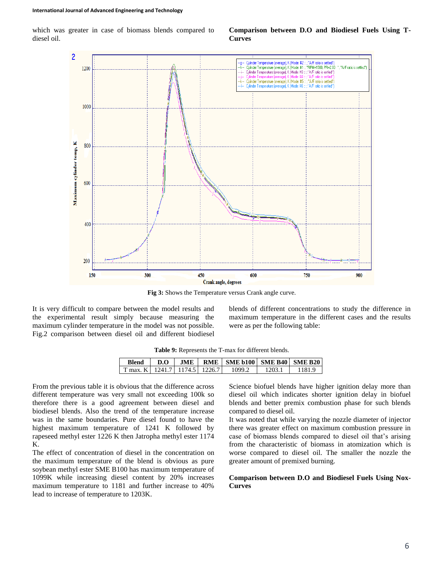which was greater in case of biomass blends compared to diesel oil.

### **Comparison between D.O and Biodiesel Fuels Using T-Curves**



**Fig 3:** Shows the Temperature versus Crank angle curve.

It is very difficult to compare between the model results and the experimental result simply because measuring the maximum cylinder temperature in the model was not possible. Fig.2 comparison between diesel oil and different biodiesel blends of different concentrations to study the difference in maximum temperature in the different cases and the results were as per the following table:

| Blend                               | D.O |  | $JME \perp RME \perp SME b100 \perp SME B40 \perp SME B20$ |        |        |
|-------------------------------------|-----|--|------------------------------------------------------------|--------|--------|
| T max. K   1241.7   1174.5   1226.7 |     |  | 1099.2                                                     | 1203.1 | 1181.9 |

|  |  |  | Table 9: Represents the T-max for different blends. |  |
|--|--|--|-----------------------------------------------------|--|
|--|--|--|-----------------------------------------------------|--|

From the previous table it is obvious that the difference across different temperature was very small not exceeding 100k so therefore there is a good agreement between diesel and biodiesel blends. Also the trend of the temperature increase was in the same boundaries. Pure diesel found to have the highest maximum temperature of 1241 K followed by rapeseed methyl ester 1226 K then Jatropha methyl ester 1174 K.

The effect of concentration of diesel in the concentration on the maximum temperature of the blend is obvious as pure soybean methyl ester SME B100 has maximum temperature of 1099K while increasing diesel content by 20% increases maximum temperature to 1181 and further increase to 40% lead to increase of temperature to 1203K.

Science biofuel blends have higher ignition delay more than diesel oil which indicates shorter ignition delay in biofuel blends and better premix combustion phase for such blends compared to diesel oil.

It was noted that while varying the nozzle diameter of injector there was greater effect on maximum combustion pressure in case of biomass blends compared to diesel oil that's arising from the characteristic of biomass in atomization which is worse compared to diesel oil. The smaller the nozzle the greater amount of premixed burning.

### **Comparison between D.O and Biodiesel Fuels Using Nox-Curves**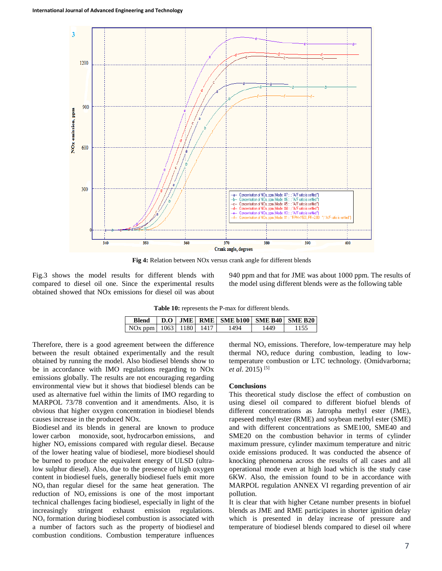

**Fig 4:** Relation between NOx versus crank angle for different blends

Fig.3 shows the model results for different blends with compared to diesel oil one. Since the experimental results obtained showed that NOx emissions for diesel oil was about 940 ppm and that for JME was about 1000 ppm. The results of the model using different blends were as the following table

Table 10: represents the P-max for different blends.

| <b>Blend</b>                             |  | $D.O$ JME RME SME b100 SME B40 SME B20 |      |  |
|------------------------------------------|--|----------------------------------------|------|--|
| NO <sub>x</sub> ppm   1063   1180   1417 |  | 1494                                   | 1449 |  |

Therefore, there is a good agreement between the difference between the result obtained experimentally and the result obtained by running the model. Also biodiesel blends show to be in accordance with IMO regulations regarding to NOx emissions globally. The results are not encouraging regarding environmental view but it shows that biodiesel blends can be used as alternative fuel within the limits of IMO regarding to MARPOL 73/78 convention and it amendments. Also, it is obvious that higher oxygen concentration in biodiesel blends causes increase in the produced NOx.

Biodiesel and its blends in general are known to produce lower carbon monoxide, soot, hydrocarbon emissions, and higher NO*<sup>x</sup>* emissions compared with regular diesel. Because of the lower heating value of biodiesel, more biodiesel should be burned to produce the equivalent energy of ULSD (ultralow sulphur diesel). Also, due to the presence of high oxygen content in biodiesel fuels, generally biodiesel fuels emit more  $NO<sub>x</sub>$  than regular diesel for the same heat generation. The reduction of  $NO<sub>x</sub>$  emissions is one of the most important technical challenges facing biodiesel, especially in light of the increasingly stringent exhaust emission regulations. NO*<sup>x</sup>* formation during biodiesel combustion is associated with a number of factors such as the property of biodiesel and combustion conditions. Combustion temperature influences

thermal NO*<sup>x</sup>* emissions. Therefore, low-temperature may help thermal  $NO<sub>x</sub>$  reduce during combustion, leading to lowtemperature combustion or LTC technology. (Omidvarborna; *et al*. 2015) [5]

#### **Conclusions**

This theoretical study disclose the effect of combustion on using diesel oil compared to different biofuel blends of different concentrations as Jatropha methyl ester (JME), rapeseed methyl ester (RME) and soybean methyl ester (SME) and with different concentrations as SME100, SME40 and SME20 on the combustion behavior in terms of cylinder maximum pressure, cylinder maximum temperature and nitric oxide emissions produced. It was conducted the absence of knocking phenomena across the results of all cases and all operational mode even at high load which is the study case 6KW. Also, the emission found to be in accordance with MARPOL regulation ANNEX VI regarding prevention of air pollution.

It is clear that with higher Cetane number presents in biofuel blends as JME and RME participates in shorter ignition delay which is presented in delay increase of pressure and temperature of biodiesel blends compared to diesel oil where